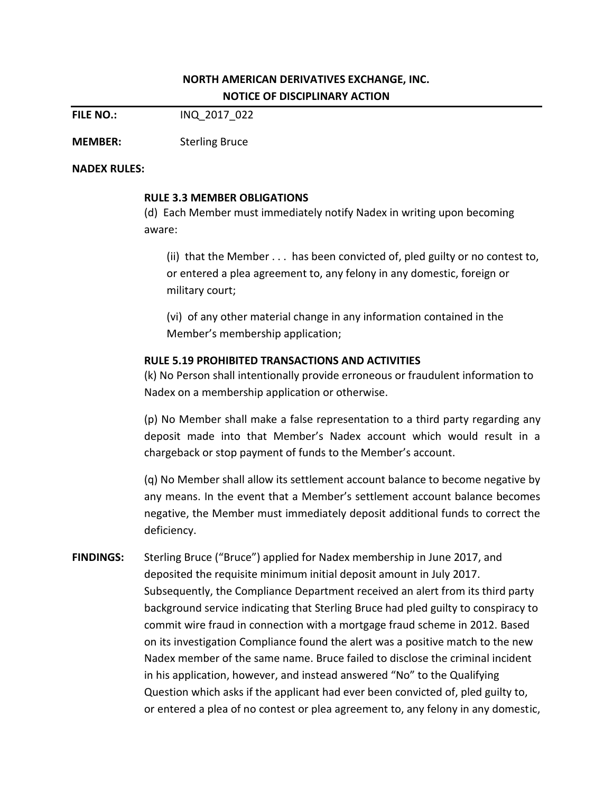## **NORTH AMERICAN DERIVATIVES EXCHANGE, INC. NOTICE OF DISCIPLINARY ACTION**

**FILE NO.:** INQ\_2017\_022

**MEMBER:** Sterling Bruce

## **NADEX RULES:**

## **RULE 3.3 MEMBER OBLIGATIONS**

(d) Each Member must immediately notify Nadex in writing upon becoming aware:

(ii) that the Member . . . has been convicted of, pled guilty or no contest to, or entered a plea agreement to, any felony in any domestic, foreign or military court;

(vi) of any other material change in any information contained in the Member's membership application;

## **RULE 5.19 PROHIBITED TRANSACTIONS AND ACTIVITIES**

(k) No Person shall intentionally provide erroneous or fraudulent information to Nadex on a membership application or otherwise.

(p) No Member shall make a false representation to a third party regarding any deposit made into that Member's Nadex account which would result in a chargeback or stop payment of funds to the Member's account.

(q) No Member shall allow its settlement account balance to become negative by any means. In the event that a Member's settlement account balance becomes negative, the Member must immediately deposit additional funds to correct the deficiency.

**FINDINGS:** Sterling Bruce ("Bruce") applied for Nadex membership in June 2017, and deposited the requisite minimum initial deposit amount in July 2017. Subsequently, the Compliance Department received an alert from its third party background service indicating that Sterling Bruce had pled guilty to conspiracy to commit wire fraud in connection with a mortgage fraud scheme in 2012. Based on its investigation Compliance found the alert was a positive match to the new Nadex member of the same name. Bruce failed to disclose the criminal incident in his application, however, and instead answered "No" to the Qualifying Question which asks if the applicant had ever been convicted of, pled guilty to, or entered a plea of no contest or plea agreement to, any felony in any domestic,